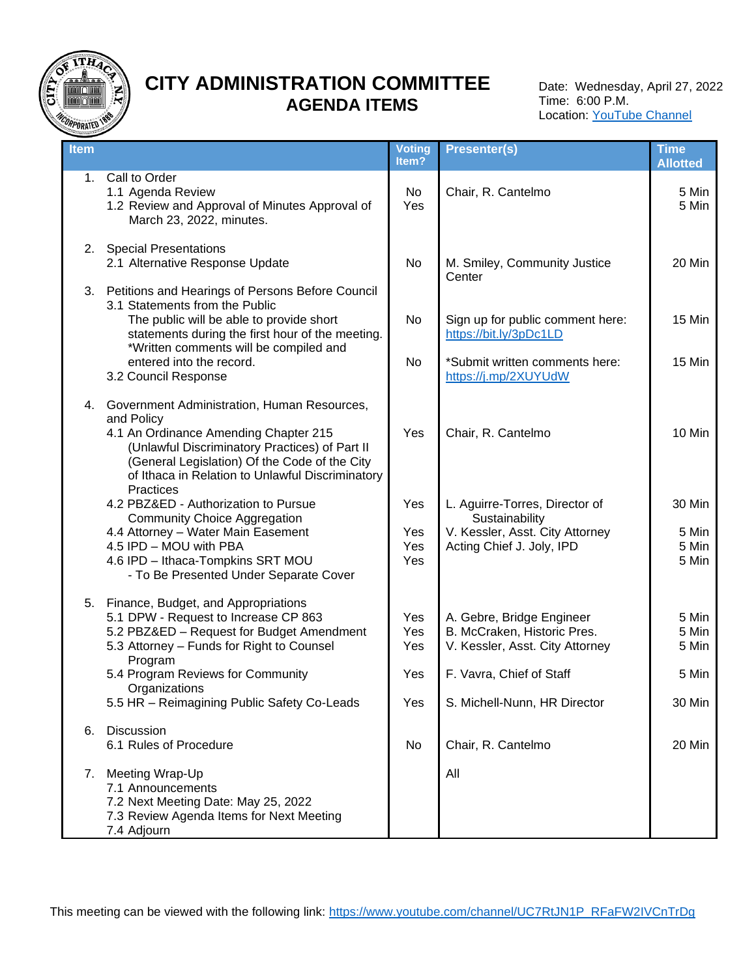

# **CITY ADMINISTRATION COMMITTEE AGENDA ITEMS**

Date: Wednesday, April 27, 2022 Time: 6:00 P.M. Location: **YouTube Channel** 

| <b>Item</b> |                                                                                                                                                                                                                                                              | Voting<br>Item?          | <b>Presenter(s)</b>                                                                                              | <b>Time</b><br><b>Allotted</b>    |
|-------------|--------------------------------------------------------------------------------------------------------------------------------------------------------------------------------------------------------------------------------------------------------------|--------------------------|------------------------------------------------------------------------------------------------------------------|-----------------------------------|
|             | 1. Call to Order<br>1.1 Agenda Review<br>1.2 Review and Approval of Minutes Approval of<br>March 23, 2022, minutes.                                                                                                                                          | No<br>Yes                | Chair, R. Cantelmo                                                                                               | 5 Min<br>5 Min                    |
| 2.          | <b>Special Presentations</b><br>2.1 Alternative Response Update                                                                                                                                                                                              | No                       | M. Smiley, Community Justice<br>Center                                                                           | 20 Min                            |
|             | 3. Petitions and Hearings of Persons Before Council<br>3.1 Statements from the Public<br>The public will be able to provide short<br>statements during the first hour of the meeting.<br>*Written comments will be compiled and                              | No                       | Sign up for public comment here:<br>https://bit.ly/3pDc1LD                                                       | 15 Min                            |
|             | entered into the record.<br>3.2 Council Response                                                                                                                                                                                                             | No                       | *Submit written comments here:<br>https://j.mp/2XUYUdW                                                           | 15 Min                            |
|             | 4. Government Administration, Human Resources,<br>and Policy<br>4.1 An Ordinance Amending Chapter 215<br>(Unlawful Discriminatory Practices) of Part II<br>(General Legislation) Of the Code of the City<br>of Ithaca in Relation to Unlawful Discriminatory | Yes                      | Chair, R. Cantelmo                                                                                               | 10 Min                            |
|             | Practices<br>4.2 PBZ&ED - Authorization to Pursue<br><b>Community Choice Aggregation</b><br>4.4 Attorney - Water Main Easement<br>4.5 IPD - MOU with PBA<br>4.6 IPD - Ithaca-Tompkins SRT MOU<br>- To Be Presented Under Separate Cover                      | Yes<br>Yes<br>Yes<br>Yes | L. Aguirre-Torres, Director of<br>Sustainability<br>V. Kessler, Asst. City Attorney<br>Acting Chief J. Joly, IPD | 30 Min<br>5 Min<br>5 Min<br>5 Min |
|             | 5. Finance, Budget, and Appropriations<br>5.1 DPW - Request to Increase CP 863<br>5.2 PBZ&ED - Request for Budget Amendment<br>5.3 Attorney - Funds for Right to Counsel<br>Program                                                                          | Yes<br>Yes<br>Yes        | A. Gebre, Bridge Engineer<br>B. McCraken, Historic Pres.<br>V. Kessler, Asst. City Attorney                      | 5 Min<br>5 Min<br>5 Min           |
|             | 5.4 Program Reviews for Community<br>Organizations                                                                                                                                                                                                           | Yes                      | F. Vavra, Chief of Staff                                                                                         | 5 Min                             |
| 6.          | 5.5 HR - Reimagining Public Safety Co-Leads<br>Discussion                                                                                                                                                                                                    | Yes                      | S. Michell-Nunn, HR Director                                                                                     | 30 Min                            |
|             | 6.1 Rules of Procedure                                                                                                                                                                                                                                       | No                       | Chair, R. Cantelmo                                                                                               | 20 Min                            |
|             | 7. Meeting Wrap-Up<br>7.1 Announcements<br>7.2 Next Meeting Date: May 25, 2022<br>7.3 Review Agenda Items for Next Meeting<br>7.4 Adjourn                                                                                                                    |                          | All                                                                                                              |                                   |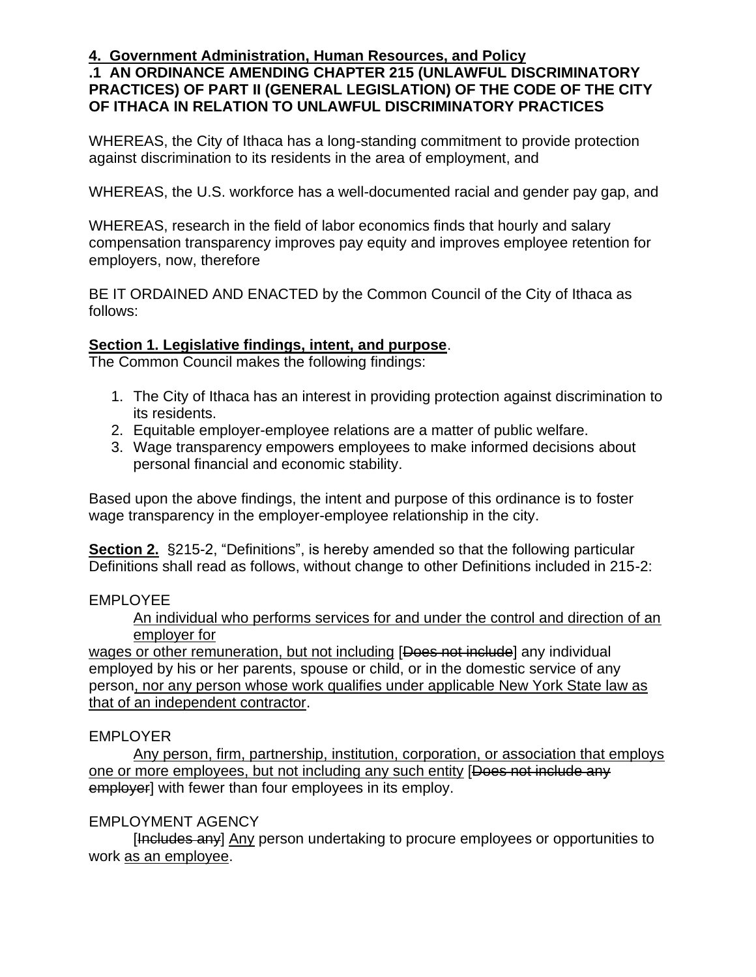# **.1 AN ORDINANCE AMENDING CHAPTER 215 (UNLAWFUL DISCRIMINATORY PRACTICES) OF PART II (GENERAL LEGISLATION) OF THE CODE OF THE CITY OF ITHACA IN RELATION TO UNLAWFUL DISCRIMINATORY PRACTICES**

WHEREAS, the City of Ithaca has a long-standing commitment to provide protection against discrimination to its residents in the area of employment, and

WHEREAS, the U.S. workforce has a well-documented racial and gender pay gap, and

WHEREAS, research in the field of labor economics finds that hourly and salary compensation transparency improves pay equity and improves employee retention for employers, now, therefore

BE IT ORDAINED AND ENACTED by the Common Council of the City of Ithaca as follows:

# **Section 1. Legislative findings, intent, and purpose**.

The Common Council makes the following findings:

- 1. The City of Ithaca has an interest in providing protection against discrimination to its residents.
- 2. Equitable employer-employee relations are a matter of public welfare.
- 3. Wage transparency empowers employees to make informed decisions about personal financial and economic stability.

Based upon the above findings, the intent and purpose of this ordinance is to foster wage transparency in the employer-employee relationship in the city.

**Section 2.** §215-2, "Definitions", is hereby amended so that the following particular Definitions shall read as follows, without change to other Definitions included in 215-2:

## EMPLOYEE

An individual who performs services for and under the control and direction of an employer for

wages or other remuneration, but not including [Does not include] any individual employed by his or her parents, spouse or child, or in the domestic service of any person, nor any person whose work qualifies under applicable New York State law as that of an independent contractor.

# EMPLOYER

Any person, firm, partnership, institution, corporation, or association that employs one or more employees, but not including any such entity [Does not include any employer] with fewer than four employees in its employ.

# EMPLOYMENT AGENCY

[Includes any] Any person undertaking to procure employees or opportunities to work as an employee.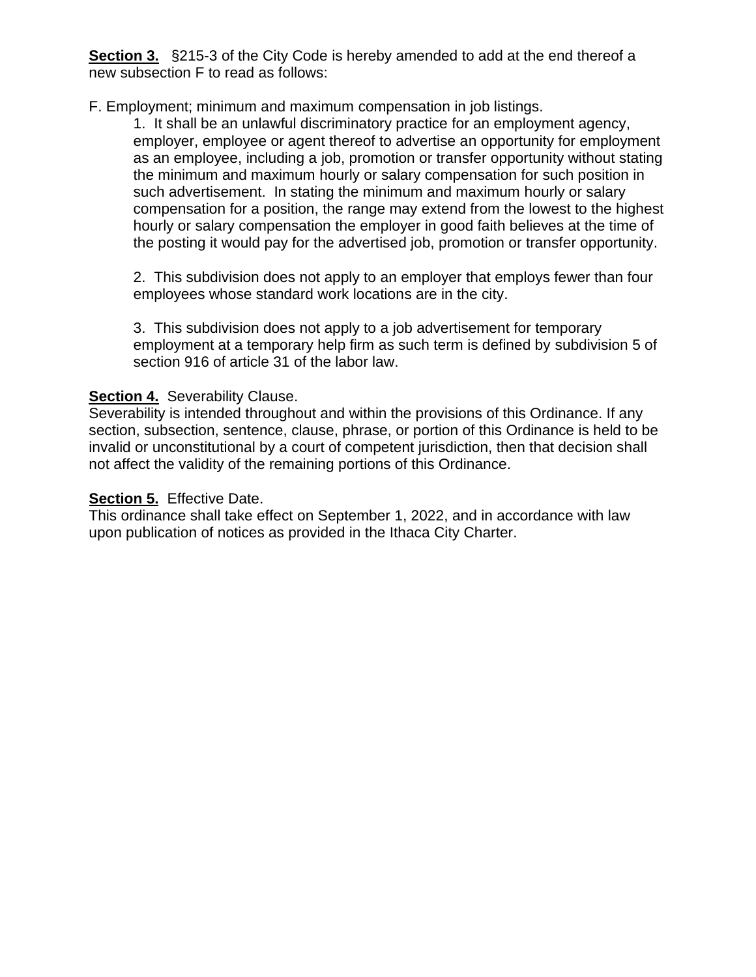**Section 3.** §215-3 of the City Code is hereby amended to add at the end thereof a new subsection F to read as follows:

F. Employment; minimum and maximum compensation in job listings.

1. It shall be an unlawful discriminatory practice for an employment agency, employer, employee or agent thereof to advertise an opportunity for employment as an employee, including a job, promotion or transfer opportunity without stating the minimum and maximum hourly or salary compensation for such position in such advertisement. In stating the minimum and maximum hourly or salary compensation for a position, the range may extend from the lowest to the highest hourly or salary compensation the employer in good faith believes at the time of the posting it would pay for the advertised job, promotion or transfer opportunity.

2. This subdivision does not apply to an employer that employs fewer than four employees whose standard work locations are in the city.

3. This subdivision does not apply to a job advertisement for temporary employment at a temporary help firm as such term is defined by subdivision 5 of section 916 of article 31 of the labor law.

## **Section 4.** Severability Clause.

Severability is intended throughout and within the provisions of this Ordinance. If any section, subsection, sentence, clause, phrase, or portion of this Ordinance is held to be invalid or unconstitutional by a court of competent jurisdiction, then that decision shall not affect the validity of the remaining portions of this Ordinance.

## **Section 5.** Effective Date.

This ordinance shall take effect on September 1, 2022, and in accordance with law upon publication of notices as provided in the Ithaca City Charter.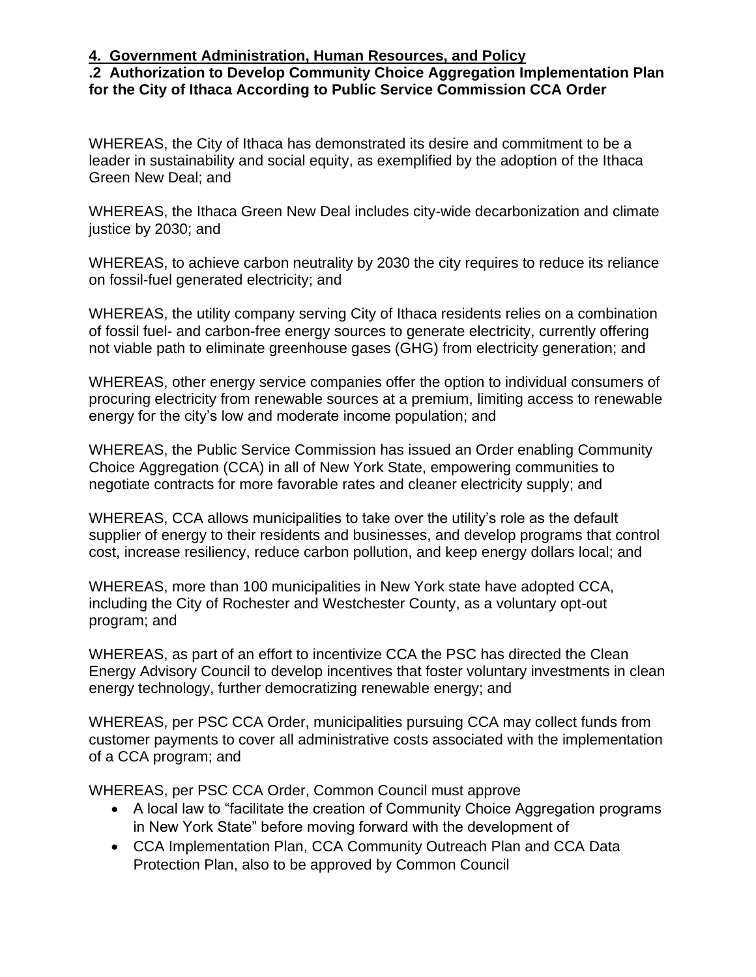### **.2 Authorization to Develop Community Choice Aggregation Implementation Plan for the City of Ithaca According to Public Service Commission CCA Order**

WHEREAS, the City of Ithaca has demonstrated its desire and commitment to be a leader in sustainability and social equity, as exemplified by the adoption of the Ithaca Green New Deal; and

WHEREAS, the Ithaca Green New Deal includes city-wide decarbonization and climate justice by 2030; and

WHEREAS, to achieve carbon neutrality by 2030 the city requires to reduce its reliance on fossil-fuel generated electricity; and

WHEREAS, the utility company serving City of Ithaca residents relies on a combination of fossil fuel- and carbon-free energy sources to generate electricity, currently offering not viable path to eliminate greenhouse gases (GHG) from electricity generation; and

WHEREAS, other energy service companies offer the option to individual consumers of procuring electricity from renewable sources at a premium, limiting access to renewable energy for the city's low and moderate income population; and

WHEREAS, the Public Service Commission has issued an Order enabling Community Choice Aggregation (CCA) in all of New York State, empowering communities to negotiate contracts for more favorable rates and cleaner electricity supply; and

WHEREAS, CCA allows municipalities to take over the utility's role as the default supplier of energy to their residents and businesses, and develop programs that control cost, increase resiliency, reduce carbon pollution, and keep energy dollars local; and

WHEREAS, more than 100 municipalities in New York state have adopted CCA, including the City of Rochester and Westchester County, as a voluntary opt-out program; and

WHEREAS, as part of an effort to incentivize CCA the PSC has directed the Clean Energy Advisory Council to develop incentives that foster voluntary investments in clean energy technology, further democratizing renewable energy; and

WHEREAS, per PSC CCA Order, municipalities pursuing CCA may collect funds from customer payments to cover all administrative costs associated with the implementation of a CCA program; and

WHEREAS, per PSC CCA Order, Common Council must approve

- A local law to "facilitate the creation of Community Choice Aggregation programs in New York State" before moving forward with the development of
- CCA Implementation Plan, CCA Community Outreach Plan and CCA Data Protection Plan, also to be approved by Common Council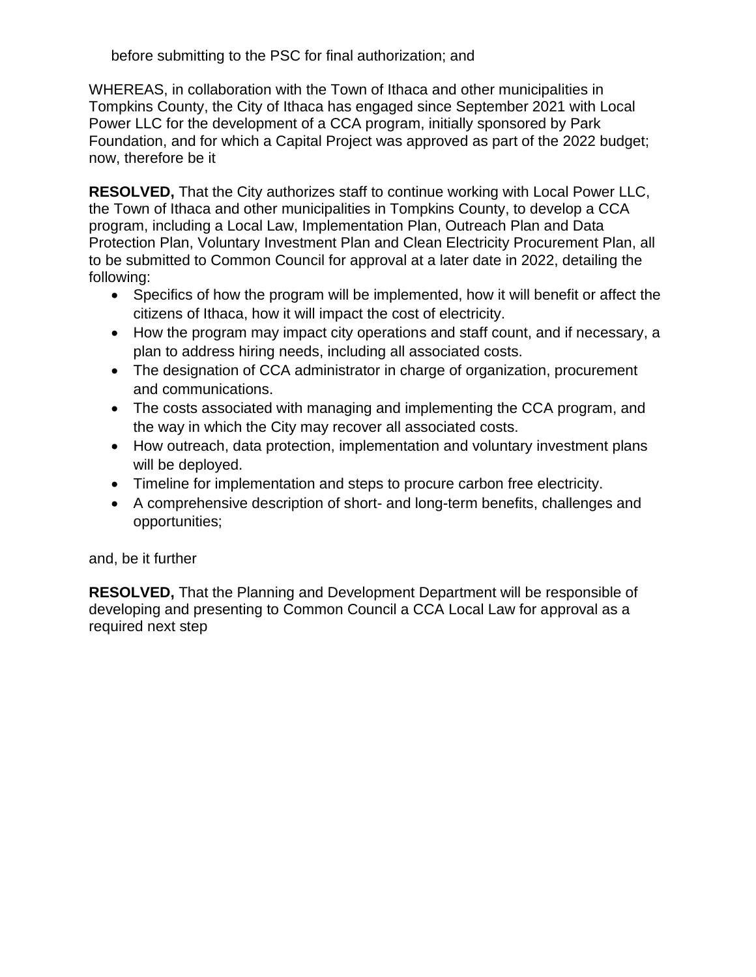before submitting to the PSC for final authorization; and

WHEREAS, in collaboration with the Town of Ithaca and other municipalities in Tompkins County, the City of Ithaca has engaged since September 2021 with Local Power LLC for the development of a CCA program, initially sponsored by Park Foundation, and for which a Capital Project was approved as part of the 2022 budget; now, therefore be it

**RESOLVED,** That the City authorizes staff to continue working with Local Power LLC, the Town of Ithaca and other municipalities in Tompkins County, to develop a CCA program, including a Local Law, Implementation Plan, Outreach Plan and Data Protection Plan, Voluntary Investment Plan and Clean Electricity Procurement Plan, all to be submitted to Common Council for approval at a later date in 2022, detailing the following:

- Specifics of how the program will be implemented, how it will benefit or affect the citizens of Ithaca, how it will impact the cost of electricity.
- How the program may impact city operations and staff count, and if necessary, a plan to address hiring needs, including all associated costs.
- The designation of CCA administrator in charge of organization, procurement and communications.
- The costs associated with managing and implementing the CCA program, and the way in which the City may recover all associated costs.
- How outreach, data protection, implementation and voluntary investment plans will be deployed.
- Timeline for implementation and steps to procure carbon free electricity.
- A comprehensive description of short- and long-term benefits, challenges and opportunities;

# and, be it further

**RESOLVED,** That the Planning and Development Department will be responsible of developing and presenting to Common Council a CCA Local Law for approval as a required next step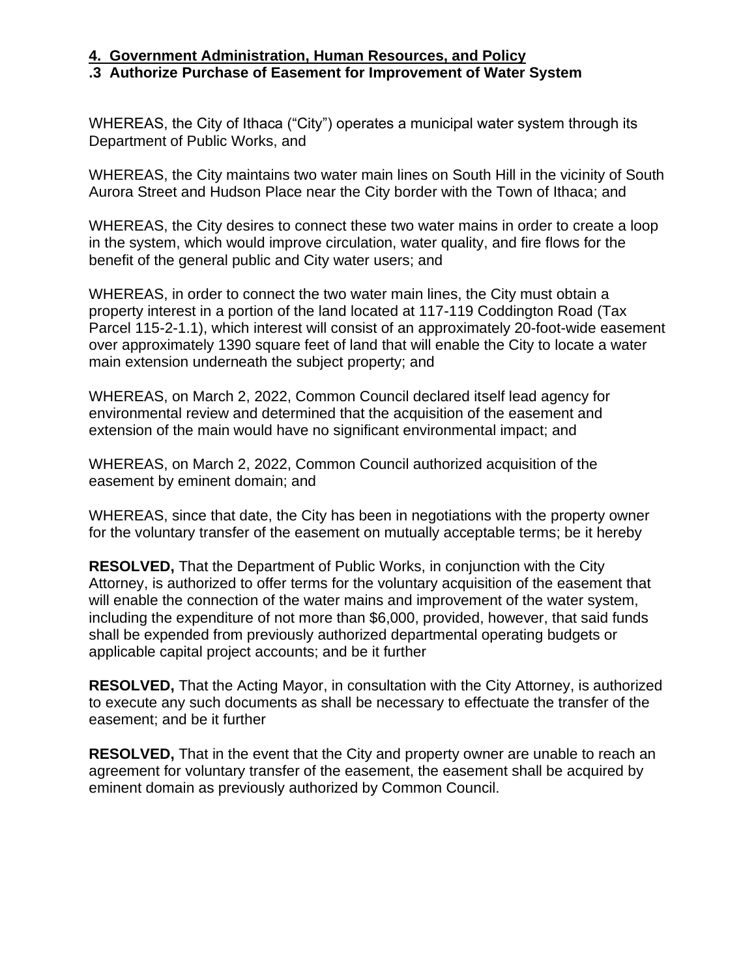## **.3 Authorize Purchase of Easement for Improvement of Water System**

WHEREAS, the City of Ithaca ("City") operates a municipal water system through its Department of Public Works, and

WHEREAS, the City maintains two water main lines on South Hill in the vicinity of South Aurora Street and Hudson Place near the City border with the Town of Ithaca; and

WHEREAS, the City desires to connect these two water mains in order to create a loop in the system, which would improve circulation, water quality, and fire flows for the benefit of the general public and City water users; and

WHEREAS, in order to connect the two water main lines, the City must obtain a property interest in a portion of the land located at 117-119 Coddington Road (Tax Parcel 115-2-1.1), which interest will consist of an approximately 20-foot-wide easement over approximately 1390 square feet of land that will enable the City to locate a water main extension underneath the subject property; and

WHEREAS, on March 2, 2022, Common Council declared itself lead agency for environmental review and determined that the acquisition of the easement and extension of the main would have no significant environmental impact; and

WHEREAS, on March 2, 2022, Common Council authorized acquisition of the easement by eminent domain; and

WHEREAS, since that date, the City has been in negotiations with the property owner for the voluntary transfer of the easement on mutually acceptable terms; be it hereby

**RESOLVED,** That the Department of Public Works, in conjunction with the City Attorney, is authorized to offer terms for the voluntary acquisition of the easement that will enable the connection of the water mains and improvement of the water system, including the expenditure of not more than \$6,000, provided, however, that said funds shall be expended from previously authorized departmental operating budgets or applicable capital project accounts; and be it further

**RESOLVED,** That the Acting Mayor, in consultation with the City Attorney, is authorized to execute any such documents as shall be necessary to effectuate the transfer of the easement; and be it further

**RESOLVED,** That in the event that the City and property owner are unable to reach an agreement for voluntary transfer of the easement, the easement shall be acquired by eminent domain as previously authorized by Common Council.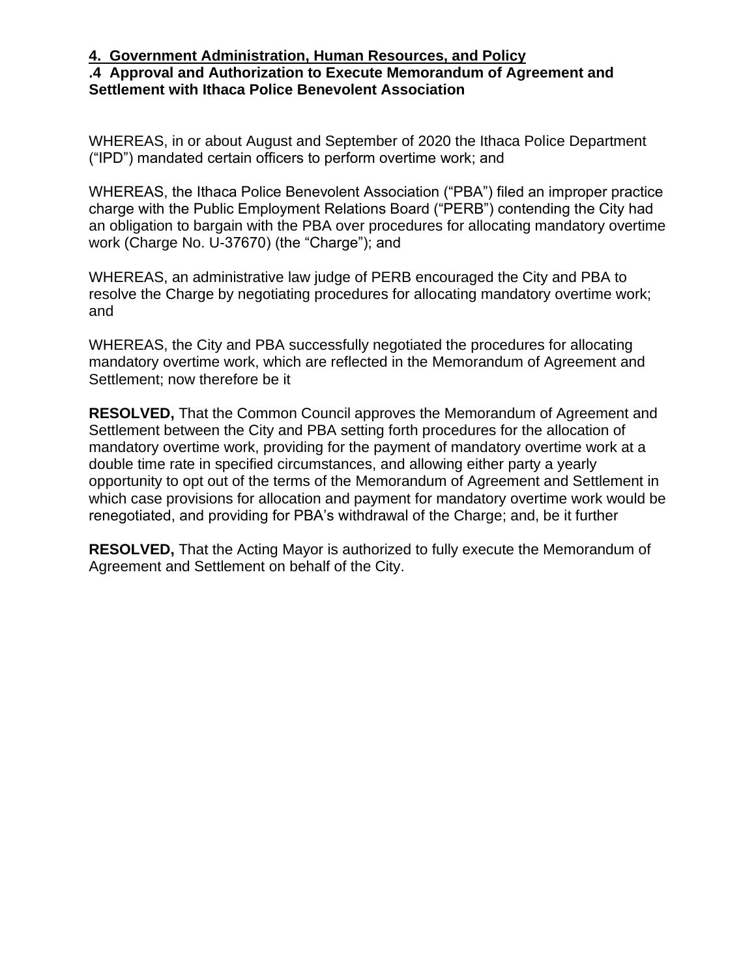## **.4 Approval and Authorization to Execute Memorandum of Agreement and Settlement with Ithaca Police Benevolent Association**

WHEREAS, in or about August and September of 2020 the Ithaca Police Department ("IPD") mandated certain officers to perform overtime work; and

WHEREAS, the Ithaca Police Benevolent Association ("PBA") filed an improper practice charge with the Public Employment Relations Board ("PERB") contending the City had an obligation to bargain with the PBA over procedures for allocating mandatory overtime work (Charge No. U-37670) (the "Charge"); and

WHEREAS, an administrative law judge of PERB encouraged the City and PBA to resolve the Charge by negotiating procedures for allocating mandatory overtime work; and

WHEREAS, the City and PBA successfully negotiated the procedures for allocating mandatory overtime work, which are reflected in the Memorandum of Agreement and Settlement; now therefore be it

**RESOLVED,** That the Common Council approves the Memorandum of Agreement and Settlement between the City and PBA setting forth procedures for the allocation of mandatory overtime work, providing for the payment of mandatory overtime work at a double time rate in specified circumstances, and allowing either party a yearly opportunity to opt out of the terms of the Memorandum of Agreement and Settlement in which case provisions for allocation and payment for mandatory overtime work would be renegotiated, and providing for PBA's withdrawal of the Charge; and, be it further

**RESOLVED,** That the Acting Mayor is authorized to fully execute the Memorandum of Agreement and Settlement on behalf of the City.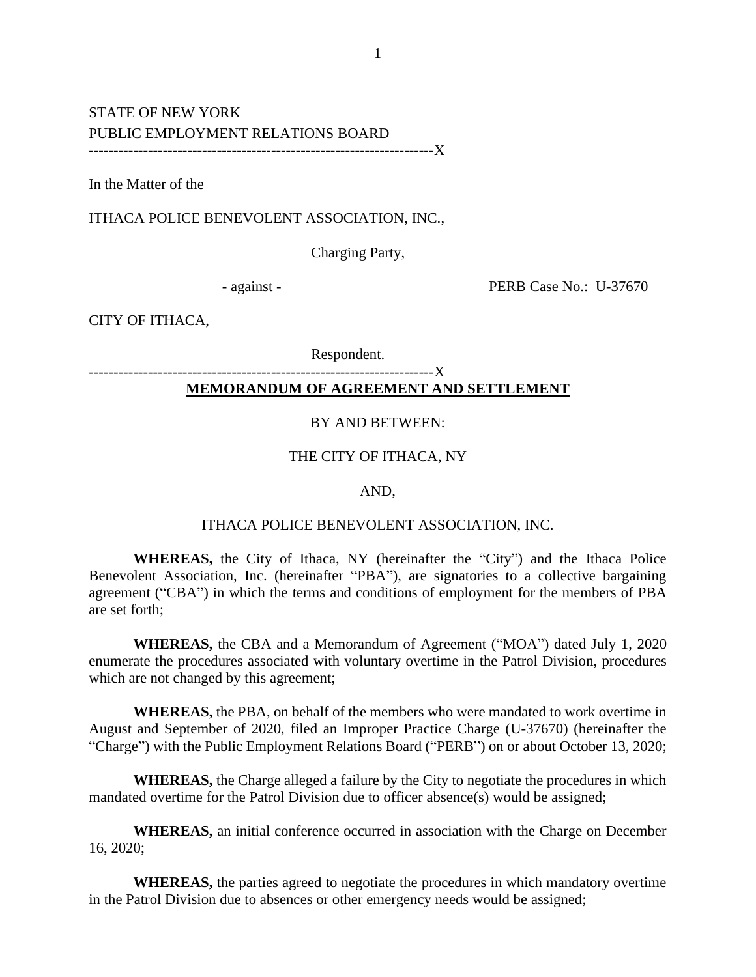### STATE OF NEW YORK PUBLIC EMPLOYMENT RELATIONS BOARD ----------------------------------------------------------------------X

In the Matter of the

ITHACA POLICE BENEVOLENT ASSOCIATION, INC.,

Charging Party,

- against - PERB Case No.: U-37670

CITY OF ITHACA,

Respondent.

#### ----------------------------------**MEMORANDUM OF AGREEMENT AND SETTLEMENT**

#### BY AND BETWEEN:

#### THE CITY OF ITHACA, NY

#### AND,

#### ITHACA POLICE BENEVOLENT ASSOCIATION, INC.

**WHEREAS,** the City of Ithaca, NY (hereinafter the "City") and the Ithaca Police Benevolent Association, Inc. (hereinafter "PBA"), are signatories to a collective bargaining agreement ("CBA") in which the terms and conditions of employment for the members of PBA are set forth;

**WHEREAS,** the CBA and a Memorandum of Agreement ("MOA") dated July 1, 2020 enumerate the procedures associated with voluntary overtime in the Patrol Division, procedures which are not changed by this agreement;

**WHEREAS,** the PBA, on behalf of the members who were mandated to work overtime in August and September of 2020, filed an Improper Practice Charge (U-37670) (hereinafter the "Charge") with the Public Employment Relations Board ("PERB") on or about October 13, 2020;

**WHEREAS,** the Charge alleged a failure by the City to negotiate the procedures in which mandated overtime for the Patrol Division due to officer absence(s) would be assigned;

**WHEREAS,** an initial conference occurred in association with the Charge on December 16, 2020;

**WHEREAS,** the parties agreed to negotiate the procedures in which mandatory overtime in the Patrol Division due to absences or other emergency needs would be assigned;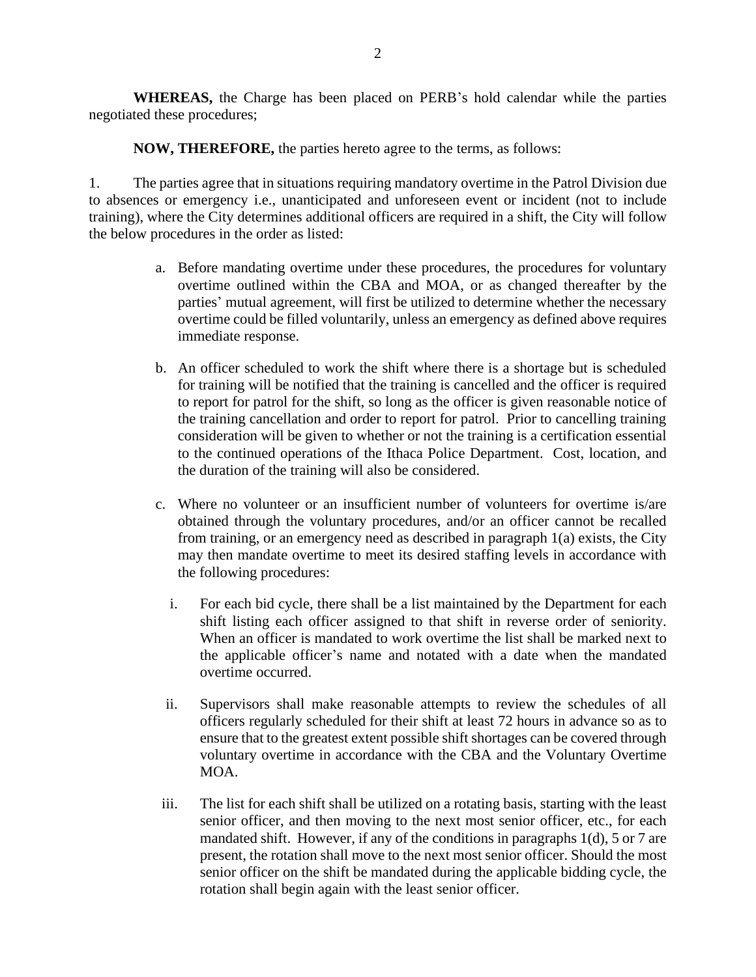**WHEREAS,** the Charge has been placed on PERB's hold calendar while the parties negotiated these procedures;

**NOW, THEREFORE,** the parties hereto agree to the terms, as follows:

1. The parties agree that in situations requiring mandatory overtime in the Patrol Division due to absences or emergency i.e., unanticipated and unforeseen event or incident (not to include training), where the City determines additional officers are required in a shift, the City will follow the below procedures in the order as listed:

- a. Before mandating overtime under these procedures, the procedures for voluntary overtime outlined within the CBA and MOA, or as changed thereafter by the parties' mutual agreement, will first be utilized to determine whether the necessary overtime could be filled voluntarily, unless an emergency as defined above requires immediate response.
- b. An officer scheduled to work the shift where there is a shortage but is scheduled for training will be notified that the training is cancelled and the officer is required to report for patrol for the shift, so long as the officer is given reasonable notice of the training cancellation and order to report for patrol. Prior to cancelling training consideration will be given to whether or not the training is a certification essential to the continued operations of the Ithaca Police Department. Cost, location, and the duration of the training will also be considered.
- c. Where no volunteer or an insufficient number of volunteers for overtime is/are obtained through the voluntary procedures, and/or an officer cannot be recalled from training, or an emergency need as described in paragraph 1(a) exists, the City may then mandate overtime to meet its desired staffing levels in accordance with the following procedures:
	- i. For each bid cycle, there shall be a list maintained by the Department for each shift listing each officer assigned to that shift in reverse order of seniority. When an officer is mandated to work overtime the list shall be marked next to the applicable officer's name and notated with a date when the mandated overtime occurred.
	- ii. Supervisors shall make reasonable attempts to review the schedules of all officers regularly scheduled for their shift at least 72 hours in advance so as to ensure that to the greatest extent possible shift shortages can be covered through voluntary overtime in accordance with the CBA and the Voluntary Overtime MOA.
- iii. The list for each shift shall be utilized on a rotating basis, starting with the least senior officer, and then moving to the next most senior officer, etc., for each mandated shift. However, if any of the conditions in paragraphs 1(d), 5 or 7 are present, the rotation shall move to the next most senior officer. Should the most senior officer on the shift be mandated during the applicable bidding cycle, the rotation shall begin again with the least senior officer.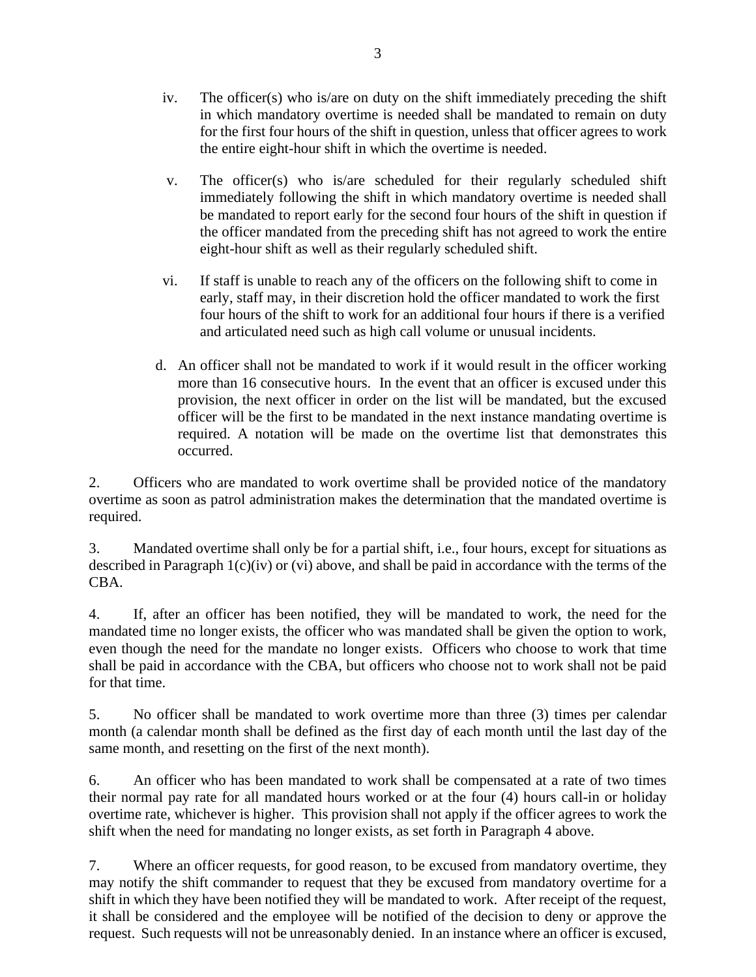- iv. The officer(s) who is/are on duty on the shift immediately preceding the shift in which mandatory overtime is needed shall be mandated to remain on duty for the first four hours of the shift in question, unless that officer agrees to work the entire eight-hour shift in which the overtime is needed.
- v. The officer(s) who is/are scheduled for their regularly scheduled shift immediately following the shift in which mandatory overtime is needed shall be mandated to report early for the second four hours of the shift in question if the officer mandated from the preceding shift has not agreed to work the entire eight-hour shift as well as their regularly scheduled shift.
- vi. If staff is unable to reach any of the officers on the following shift to come in early, staff may, in their discretion hold the officer mandated to work the first four hours of the shift to work for an additional four hours if there is a verified and articulated need such as high call volume or unusual incidents.
- d. An officer shall not be mandated to work if it would result in the officer working more than 16 consecutive hours. In the event that an officer is excused under this provision, the next officer in order on the list will be mandated, but the excused officer will be the first to be mandated in the next instance mandating overtime is required. A notation will be made on the overtime list that demonstrates this occurred.

2. Officers who are mandated to work overtime shall be provided notice of the mandatory overtime as soon as patrol administration makes the determination that the mandated overtime is required.

3. Mandated overtime shall only be for a partial shift, i.e., four hours, except for situations as described in Paragraph 1(c)(iv) or (vi) above, and shall be paid in accordance with the terms of the CBA.

4. If, after an officer has been notified, they will be mandated to work, the need for the mandated time no longer exists, the officer who was mandated shall be given the option to work, even though the need for the mandate no longer exists. Officers who choose to work that time shall be paid in accordance with the CBA, but officers who choose not to work shall not be paid for that time.

5. No officer shall be mandated to work overtime more than three (3) times per calendar month (a calendar month shall be defined as the first day of each month until the last day of the same month, and resetting on the first of the next month).

6. An officer who has been mandated to work shall be compensated at a rate of two times their normal pay rate for all mandated hours worked or at the four (4) hours call-in or holiday overtime rate, whichever is higher. This provision shall not apply if the officer agrees to work the shift when the need for mandating no longer exists, as set forth in Paragraph 4 above.

7. Where an officer requests, for good reason, to be excused from mandatory overtime, they may notify the shift commander to request that they be excused from mandatory overtime for a shift in which they have been notified they will be mandated to work. After receipt of the request, it shall be considered and the employee will be notified of the decision to deny or approve the request. Such requests will not be unreasonably denied. In an instance where an officer is excused,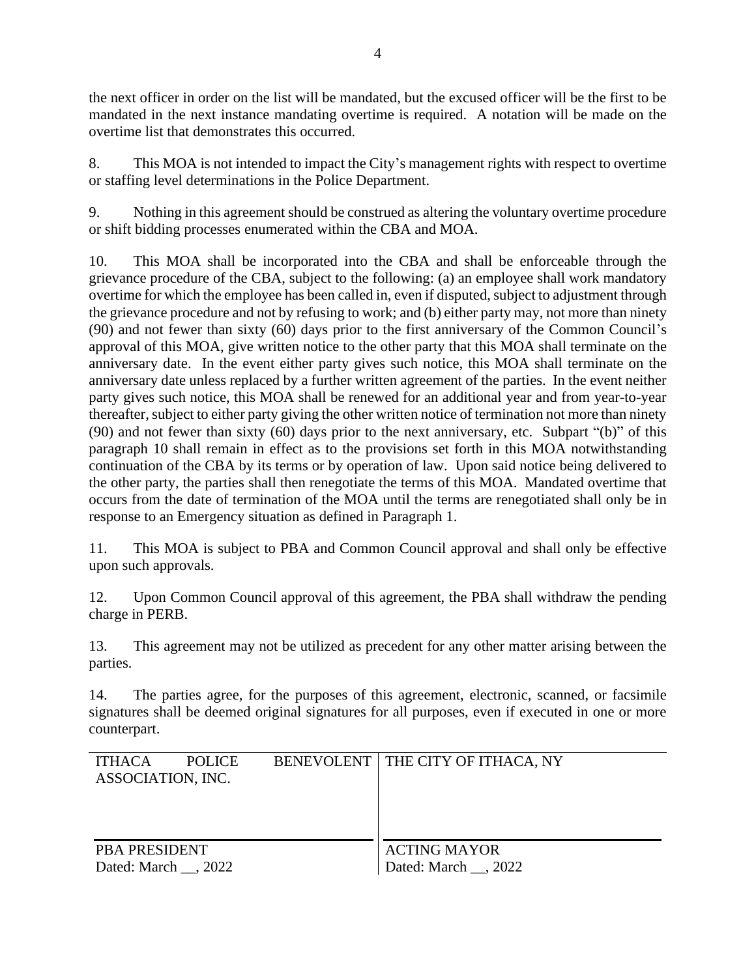the next officer in order on the list will be mandated, but the excused officer will be the first to be mandated in the next instance mandating overtime is required. A notation will be made on the overtime list that demonstrates this occurred.

8. This MOA is not intended to impact the City's management rights with respect to overtime or staffing level determinations in the Police Department.

9. Nothing in this agreement should be construed as altering the voluntary overtime procedure or shift bidding processes enumerated within the CBA and MOA.

10. This MOA shall be incorporated into the CBA and shall be enforceable through the grievance procedure of the CBA, subject to the following: (a) an employee shall work mandatory overtime for which the employee has been called in, even if disputed, subject to adjustment through the grievance procedure and not by refusing to work; and (b) either party may, not more than ninety (90) and not fewer than sixty (60) days prior to the first anniversary of the Common Council's approval of this MOA, give written notice to the other party that this MOA shall terminate on the anniversary date. In the event either party gives such notice, this MOA shall terminate on the anniversary date unless replaced by a further written agreement of the parties. In the event neither party gives such notice, this MOA shall be renewed for an additional year and from year-to-year thereafter, subject to either party giving the other written notice of termination not more than ninety (90) and not fewer than sixty (60) days prior to the next anniversary, etc. Subpart "(b)" of this paragraph 10 shall remain in effect as to the provisions set forth in this MOA notwithstanding continuation of the CBA by its terms or by operation of law. Upon said notice being delivered to the other party, the parties shall then renegotiate the terms of this MOA. Mandated overtime that occurs from the date of termination of the MOA until the terms are renegotiated shall only be in response to an Emergency situation as defined in Paragraph 1.

11. This MOA is subject to PBA and Common Council approval and shall only be effective upon such approvals.

12. Upon Common Council approval of this agreement, the PBA shall withdraw the pending charge in PERB.

13. This agreement may not be utilized as precedent for any other matter arising between the parties.

14. The parties agree, for the purposes of this agreement, electronic, scanned, or facsimile signatures shall be deemed original signatures for all purposes, even if executed in one or more counterpart.

| <b>ITHACA</b>        | <b>POLICE</b> |  | BENEVOLENT   THE CITY OF ITHACA, NY |
|----------------------|---------------|--|-------------------------------------|
| ASSOCIATION, INC.    |               |  |                                     |
|                      |               |  |                                     |
|                      |               |  |                                     |
| <b>PBA PRESIDENT</b> |               |  | <b>ACTING MAYOR</b>                 |
| Dated: March , 2022  |               |  | Dated: March , 2022                 |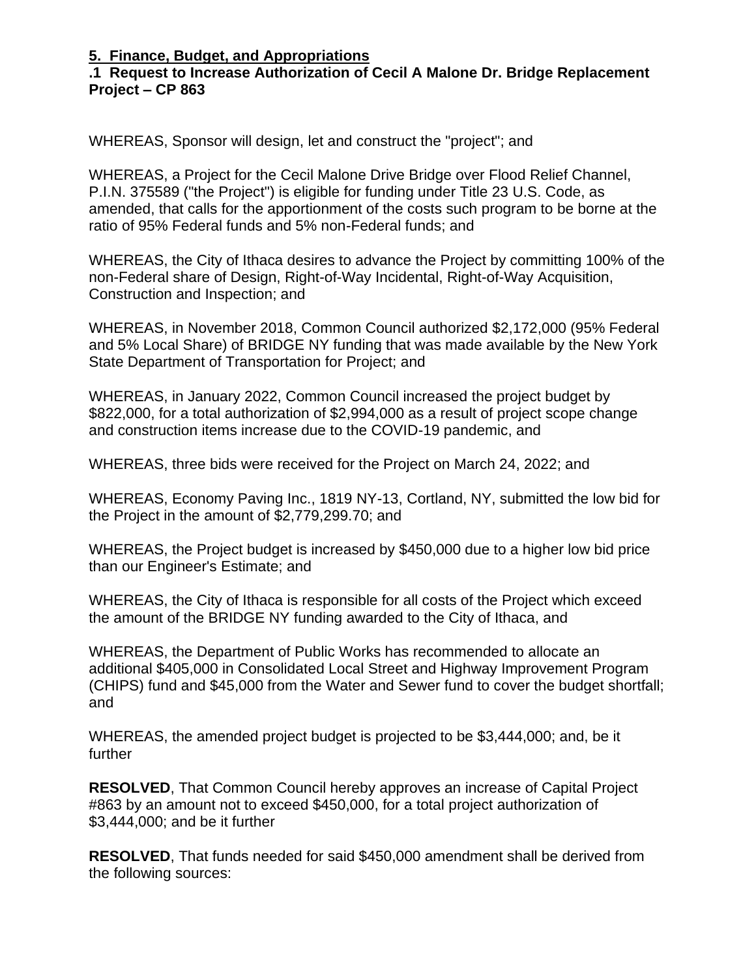## **.1 Request to Increase Authorization of Cecil A Malone Dr. Bridge Replacement Project – CP 863**

WHEREAS, Sponsor will design, let and construct the "project"; and

WHEREAS, a Project for the Cecil Malone Drive Bridge over Flood Relief Channel, P.I.N. 375589 ("the Project") is eligible for funding under Title 23 U.S. Code, as amended, that calls for the apportionment of the costs such program to be borne at the ratio of 95% Federal funds and 5% non-Federal funds; and

WHEREAS, the City of Ithaca desires to advance the Project by committing 100% of the non-Federal share of Design, Right-of-Way Incidental, Right-of-Way Acquisition, Construction and Inspection; and

WHEREAS, in November 2018, Common Council authorized \$2,172,000 (95% Federal and 5% Local Share) of BRIDGE NY funding that was made available by the New York State Department of Transportation for Project; and

WHEREAS, in January 2022, Common Council increased the project budget by \$822,000, for a total authorization of \$2,994,000 as a result of project scope change and construction items increase due to the COVID-19 pandemic, and

WHEREAS, three bids were received for the Project on March 24, 2022; and

WHEREAS, Economy Paving Inc., 1819 NY-13, Cortland, NY, submitted the low bid for the Project in the amount of \$2,779,299.70; and

WHEREAS, the Project budget is increased by \$450,000 due to a higher low bid price than our Engineer's Estimate; and

WHEREAS, the City of Ithaca is responsible for all costs of the Project which exceed the amount of the BRIDGE NY funding awarded to the City of Ithaca, and

WHEREAS, the Department of Public Works has recommended to allocate an additional \$405,000 in Consolidated Local Street and Highway Improvement Program (CHIPS) fund and \$45,000 from the Water and Sewer fund to cover the budget shortfall; and

WHEREAS, the amended project budget is projected to be \$3,444,000; and, be it further

**RESOLVED**, That Common Council hereby approves an increase of Capital Project #863 by an amount not to exceed \$450,000, for a total project authorization of \$3,444,000; and be it further

**RESOLVED**, That funds needed for said \$450,000 amendment shall be derived from the following sources: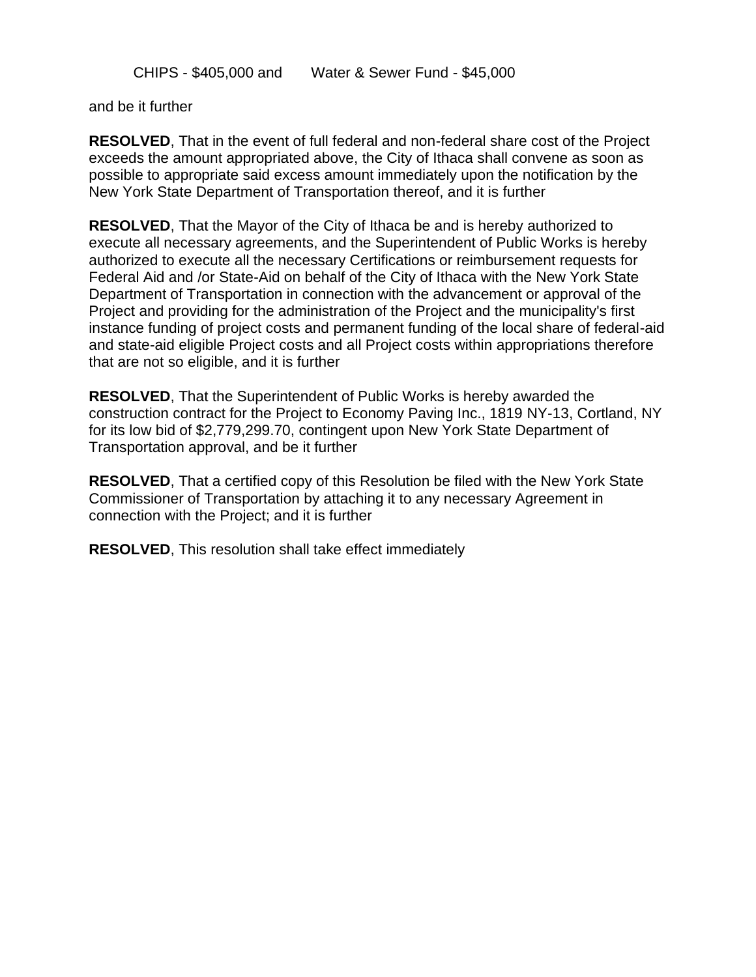CHIPS - \$405,000 and Water & Sewer Fund - \$45,000

and be it further

**RESOLVED**, That in the event of full federal and non-federal share cost of the Project exceeds the amount appropriated above, the City of Ithaca shall convene as soon as possible to appropriate said excess amount immediately upon the notification by the New York State Department of Transportation thereof, and it is further

**RESOLVED**, That the Mayor of the City of Ithaca be and is hereby authorized to execute all necessary agreements, and the Superintendent of Public Works is hereby authorized to execute all the necessary Certifications or reimbursement requests for Federal Aid and /or State-Aid on behalf of the City of Ithaca with the New York State Department of Transportation in connection with the advancement or approval of the Project and providing for the administration of the Project and the municipality's first instance funding of project costs and permanent funding of the local share of federal-aid and state-aid eligible Project costs and all Project costs within appropriations therefore that are not so eligible, and it is further

**RESOLVED**, That the Superintendent of Public Works is hereby awarded the construction contract for the Project to Economy Paving Inc., 1819 NY-13, Cortland, NY for its low bid of \$2,779,299.70, contingent upon New York State Department of Transportation approval, and be it further

**RESOLVED**, That a certified copy of this Resolution be filed with the New York State Commissioner of Transportation by attaching it to any necessary Agreement in connection with the Project; and it is further

**RESOLVED**, This resolution shall take effect immediately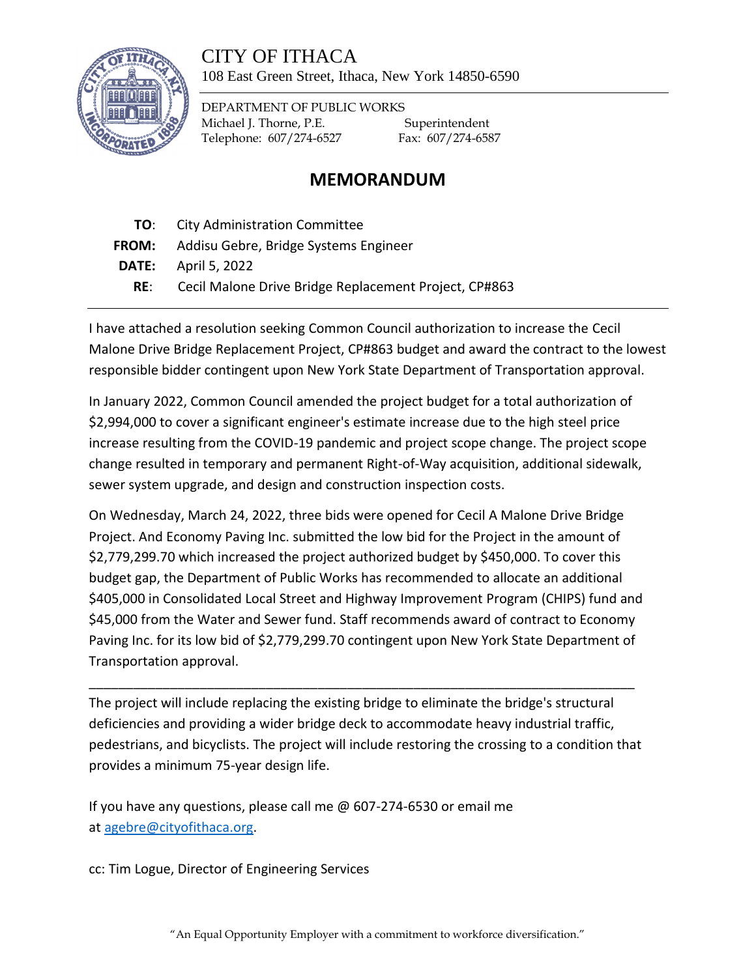# CITY OF ITHACA



108 East Green Street, Ithaca, New York 14850-6590

DEPARTMENT OF PUBLIC WORKS Michael J. Thorne, P.E. Superintendent Telephone: 607/274-6527 Fax: 607/274-6587

# **MEMORANDUM**

- **TO**: City Administration Committee
- **FROM:** Addisu Gebre, Bridge Systems Engineer
- **DATE:** April 5, 2022
	- **RE**: Cecil Malone Drive Bridge Replacement Project, CP#863

I have attached a resolution seeking Common Council authorization to increase the Cecil Malone Drive Bridge Replacement Project, CP#863 budget and award the contract to the lowest responsible bidder contingent upon New York State Department of Transportation approval.

In January 2022, Common Council amended the project budget for a total authorization of \$2,994,000 to cover a significant engineer's estimate increase due to the high steel price increase resulting from the COVID-19 pandemic and project scope change. The project scope change resulted in temporary and permanent Right-of-Way acquisition, additional sidewalk, sewer system upgrade, and design and construction inspection costs.

On Wednesday, March 24, 2022, three bids were opened for Cecil A Malone Drive Bridge Project. And Economy Paving Inc. submitted the low bid for the Project in the amount of \$2,779,299.70 which increased the project authorized budget by \$450,000. To cover this budget gap, the Department of Public Works has recommended to allocate an additional \$405,000 in Consolidated Local Street and Highway Improvement Program (CHIPS) fund and \$45,000 from the Water and Sewer fund. Staff recommends award of contract to Economy Paving Inc. for its low bid of \$2,779,299.70 contingent upon New York State Department of Transportation approval.

The project will include replacing the existing bridge to eliminate the bridge's structural deficiencies and providing a wider bridge deck to accommodate heavy industrial traffic, pedestrians, and bicyclists. The project will include restoring the crossing to a condition that provides a minimum 75-year design life.

\_\_\_\_\_\_\_\_\_\_\_\_\_\_\_\_\_\_\_\_\_\_\_\_\_\_\_\_\_\_\_\_\_\_\_\_\_\_\_\_\_\_\_\_\_\_\_\_\_\_\_\_\_\_\_\_\_\_\_\_\_\_\_\_\_\_\_\_\_\_\_\_\_\_

If you have any questions, please call me @ 607-274-6530 or email me at [agebre@cityofithaca.org.](mailto:agebre@cityofithaca.org)

cc: Tim Logue, Director of Engineering Services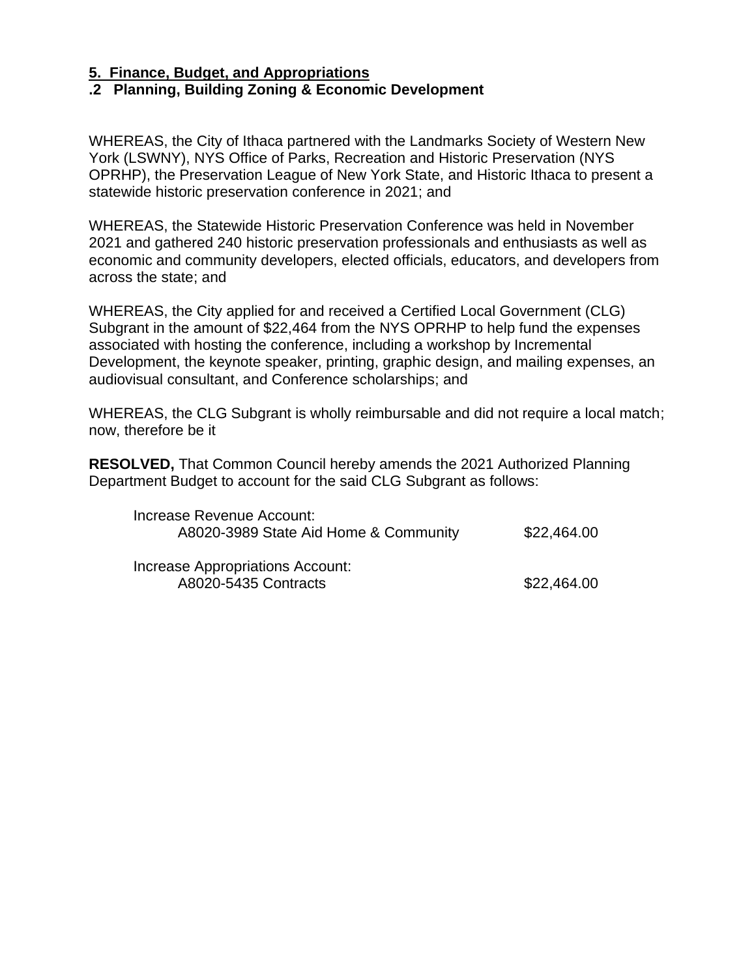## **.2 Planning, Building Zoning & Economic Development**

WHEREAS, the City of Ithaca partnered with the Landmarks Society of Western New York (LSWNY), NYS Office of Parks, Recreation and Historic Preservation (NYS OPRHP), the Preservation League of New York State, and Historic Ithaca to present a statewide historic preservation conference in 2021; and

WHEREAS, the Statewide Historic Preservation Conference was held in November 2021 and gathered 240 historic preservation professionals and enthusiasts as well as economic and community developers, elected officials, educators, and developers from across the state; and

WHEREAS, the City applied for and received a Certified Local Government (CLG) Subgrant in the amount of \$22,464 from the NYS OPRHP to help fund the expenses associated with hosting the conference, including a workshop by Incremental Development, the keynote speaker, printing, graphic design, and mailing expenses, an audiovisual consultant, and Conference scholarships; and

WHEREAS, the CLG Subgrant is wholly reimbursable and did not require a local match; now, therefore be it

**RESOLVED,** That Common Council hereby amends the 2021 Authorized Planning Department Budget to account for the said CLG Subgrant as follows:

| Increase Revenue Account:             |             |
|---------------------------------------|-------------|
| A8020-3989 State Aid Home & Community | \$22,464.00 |
| Increase Appropriations Account:      |             |
|                                       |             |
| A8020-5435 Contracts                  | \$22,464.00 |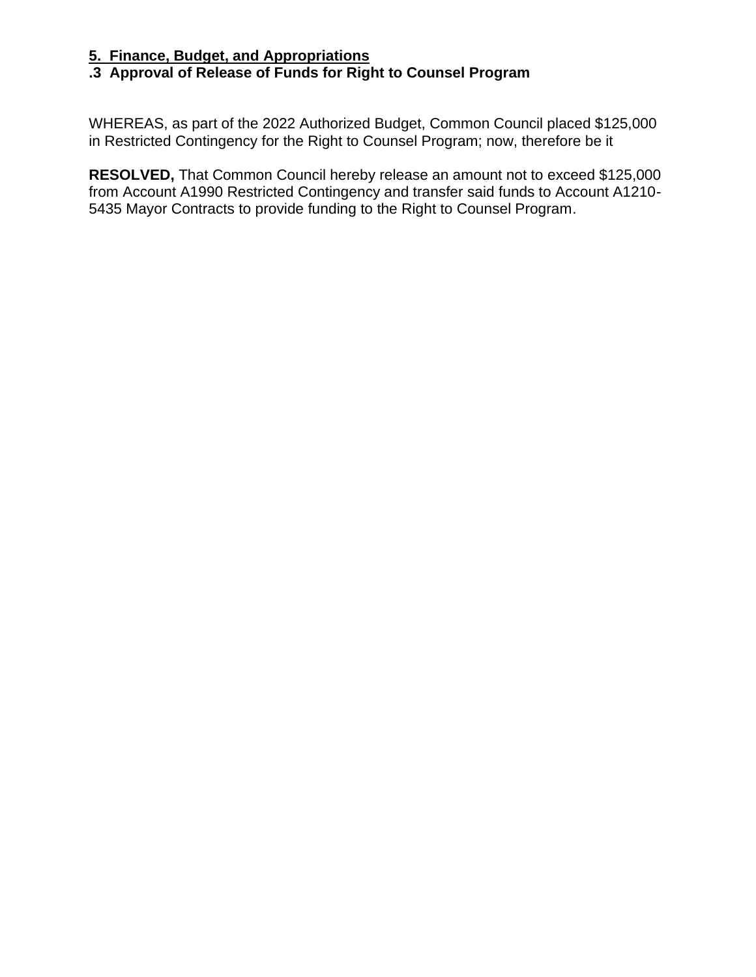# **.3 Approval of Release of Funds for Right to Counsel Program**

WHEREAS, as part of the 2022 Authorized Budget, Common Council placed \$125,000 in Restricted Contingency for the Right to Counsel Program; now, therefore be it

**RESOLVED,** That Common Council hereby release an amount not to exceed \$125,000 from Account A1990 Restricted Contingency and transfer said funds to Account A1210- 5435 Mayor Contracts to provide funding to the Right to Counsel Program.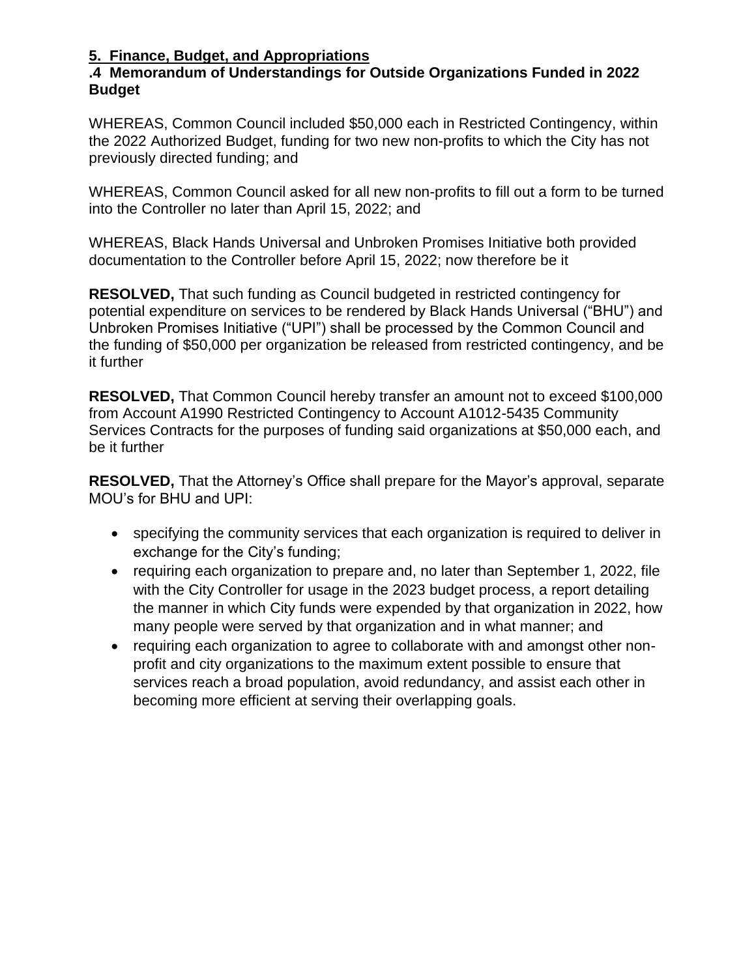# **.4 Memorandum of Understandings for Outside Organizations Funded in 2022 Budget**

WHEREAS, Common Council included \$50,000 each in Restricted Contingency, within the 2022 Authorized Budget, funding for two new non-profits to which the City has not previously directed funding; and

WHEREAS, Common Council asked for all new non-profits to fill out a form to be turned into the Controller no later than April 15, 2022; and

WHEREAS, Black Hands Universal and Unbroken Promises Initiative both provided documentation to the Controller before April 15, 2022; now therefore be it

**RESOLVED,** That such funding as Council budgeted in restricted contingency for potential expenditure on services to be rendered by Black Hands Universal ("BHU") and Unbroken Promises Initiative ("UPI") shall be processed by the Common Council and the funding of \$50,000 per organization be released from restricted contingency, and be it further

**RESOLVED,** That Common Council hereby transfer an amount not to exceed \$100,000 from Account A1990 Restricted Contingency to Account A1012-5435 Community Services Contracts for the purposes of funding said organizations at \$50,000 each, and be it further

**RESOLVED,** That the Attorney's Office shall prepare for the Mayor's approval, separate MOU's for BHU and UPI:

- specifying the community services that each organization is required to deliver in exchange for the City's funding;
- requiring each organization to prepare and, no later than September 1, 2022, file with the City Controller for usage in the 2023 budget process, a report detailing the manner in which City funds were expended by that organization in 2022, how many people were served by that organization and in what manner; and
- requiring each organization to agree to collaborate with and amongst other nonprofit and city organizations to the maximum extent possible to ensure that services reach a broad population, avoid redundancy, and assist each other in becoming more efficient at serving their overlapping goals.